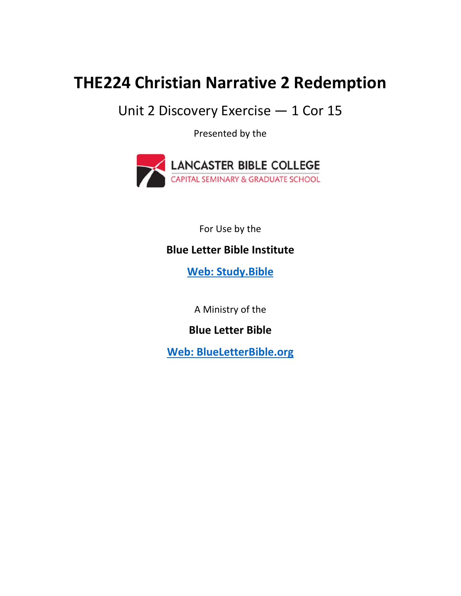## **THE224 Christian Narrative 2 Redemption**

Unit 2 Discovery Exercise — 1 Cor 15

Presented by the



For Use by the

## **Blue Letter Bible Institute**

 **Web: Study.Bible**

A Ministry of the

**Blue Letter Bible** 

**Web: BlueLetterBible.org**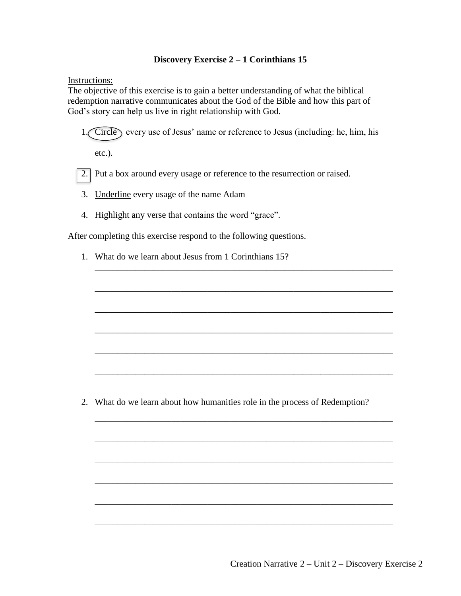## **Discovery Exercise 2 – 1 Corinthians 15**

Instructions:

The objective of this exercise is to gain a better understanding of what the biblical redemption narrative communicates about the God of the Bible and how this part of God's story can help us live in right relationship with God.

1. Circle every use of Jesus' name or reference to Jesus (including: he, him, his

\_\_\_\_\_\_\_\_\_\_\_\_\_\_\_\_\_\_\_\_\_\_\_\_\_\_\_\_\_\_\_\_\_\_\_\_\_\_\_\_\_\_\_\_\_\_\_\_\_\_\_\_\_\_\_\_\_\_\_\_\_\_\_\_\_\_

\_\_\_\_\_\_\_\_\_\_\_\_\_\_\_\_\_\_\_\_\_\_\_\_\_\_\_\_\_\_\_\_\_\_\_\_\_\_\_\_\_\_\_\_\_\_\_\_\_\_\_\_\_\_\_\_\_\_\_\_\_\_\_\_\_\_

\_\_\_\_\_\_\_\_\_\_\_\_\_\_\_\_\_\_\_\_\_\_\_\_\_\_\_\_\_\_\_\_\_\_\_\_\_\_\_\_\_\_\_\_\_\_\_\_\_\_\_\_\_\_\_\_\_\_\_\_\_\_\_\_\_\_

\_\_\_\_\_\_\_\_\_\_\_\_\_\_\_\_\_\_\_\_\_\_\_\_\_\_\_\_\_\_\_\_\_\_\_\_\_\_\_\_\_\_\_\_\_\_\_\_\_\_\_\_\_\_\_\_\_\_\_\_\_\_\_\_\_\_

\_\_\_\_\_\_\_\_\_\_\_\_\_\_\_\_\_\_\_\_\_\_\_\_\_\_\_\_\_\_\_\_\_\_\_\_\_\_\_\_\_\_\_\_\_\_\_\_\_\_\_\_\_\_\_\_\_\_\_\_\_\_\_\_\_\_

\_\_\_\_\_\_\_\_\_\_\_\_\_\_\_\_\_\_\_\_\_\_\_\_\_\_\_\_\_\_\_\_\_\_\_\_\_\_\_\_\_\_\_\_\_\_\_\_\_\_\_\_\_\_\_\_\_\_\_\_\_\_\_\_\_\_

\_\_\_\_\_\_\_\_\_\_\_\_\_\_\_\_\_\_\_\_\_\_\_\_\_\_\_\_\_\_\_\_\_\_\_\_\_\_\_\_\_\_\_\_\_\_\_\_\_\_\_\_\_\_\_\_\_\_\_\_\_\_\_\_\_\_

\_\_\_\_\_\_\_\_\_\_\_\_\_\_\_\_\_\_\_\_\_\_\_\_\_\_\_\_\_\_\_\_\_\_\_\_\_\_\_\_\_\_\_\_\_\_\_\_\_\_\_\_\_\_\_\_\_\_\_\_\_\_\_\_\_\_

\_\_\_\_\_\_\_\_\_\_\_\_\_\_\_\_\_\_\_\_\_\_\_\_\_\_\_\_\_\_\_\_\_\_\_\_\_\_\_\_\_\_\_\_\_\_\_\_\_\_\_\_\_\_\_\_\_\_\_\_\_\_\_\_\_\_

\_\_\_\_\_\_\_\_\_\_\_\_\_\_\_\_\_\_\_\_\_\_\_\_\_\_\_\_\_\_\_\_\_\_\_\_\_\_\_\_\_\_\_\_\_\_\_\_\_\_\_\_\_\_\_\_\_\_\_\_\_\_\_\_\_\_

\_\_\_\_\_\_\_\_\_\_\_\_\_\_\_\_\_\_\_\_\_\_\_\_\_\_\_\_\_\_\_\_\_\_\_\_\_\_\_\_\_\_\_\_\_\_\_\_\_\_\_\_\_\_\_\_\_\_\_\_\_\_\_\_\_\_

\_\_\_\_\_\_\_\_\_\_\_\_\_\_\_\_\_\_\_\_\_\_\_\_\_\_\_\_\_\_\_\_\_\_\_\_\_\_\_\_\_\_\_\_\_\_\_\_\_\_\_\_\_\_\_\_\_\_\_\_\_\_\_\_\_\_

etc.).

2. Put a box around every usage or reference to the resurrection or raised.

- 3. Underline every usage of the name Adam
- 4. Highlight any verse that contains the word "grace".

After completing this exercise respond to the following questions.

1. What do we learn about Jesus from 1 Corinthians 15?

2. What do we learn about how humanities role in the process of Redemption?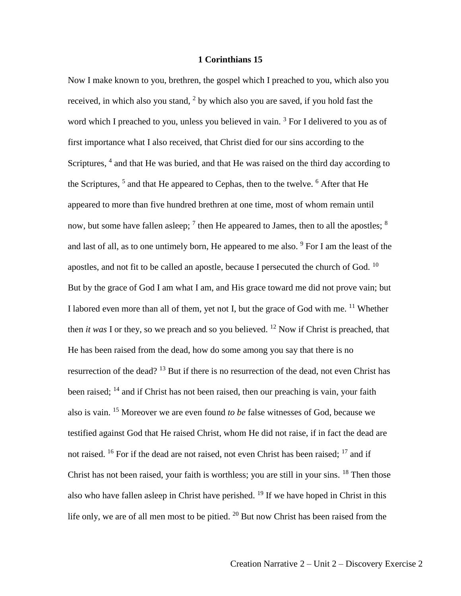## **1 Corinthians 15**

Now I make known to you, brethren, the gospel which I preached to you, which also you received, in which also you stand,  $2$  by which also you are saved, if you hold fast the word which I preached to you, unless you believed in vain.<sup>3</sup> For I delivered to you as of first importance what I also received, that Christ died for our sins according to the Scriptures, <sup>4</sup> and that He was buried, and that He was raised on the third day according to the Scriptures, <sup>5</sup> and that He appeared to Cephas, then to the twelve. <sup>6</sup> After that He appeared to more than five hundred brethren at one time, most of whom remain until now, but some have fallen asleep;  $^7$  then He appeared to James, then to all the apostles;  $^8$ and last of all, as to one untimely born, He appeared to me also. <sup>9</sup> For I am the least of the apostles, and not fit to be called an apostle, because I persecuted the church of God.  $10$ But by the grace of God I am what I am, and His grace toward me did not prove vain; but I labored even more than all of them, yet not I, but the grace of God with me. <sup>11</sup> Whether then *it was* I or they, so we preach and so you believed. <sup>12</sup> Now if Christ is preached, that He has been raised from the dead, how do some among you say that there is no resurrection of the dead? <sup>13</sup> But if there is no resurrection of the dead, not even Christ has been raised; <sup>14</sup> and if Christ has not been raised, then our preaching is vain, your faith also is vain. <sup>15</sup> Moreover we are even found *to be* false witnesses of God, because we testified against God that He raised Christ, whom He did not raise, if in fact the dead are not raised. <sup>16</sup> For if the dead are not raised, not even Christ has been raised; <sup>17</sup> and if Christ has not been raised, your faith is worthless; you are still in your sins. <sup>18</sup> Then those also who have fallen asleep in Christ have perished.  $^{19}$  If we have hoped in Christ in this life only, we are of all men most to be pitied. <sup>20</sup> But now Christ has been raised from the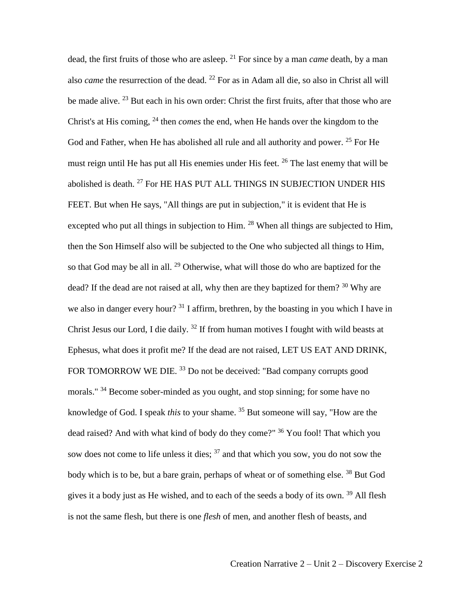dead, the first fruits of those who are asleep. <sup>21</sup> For since by a man *came* death, by a man also *came* the resurrection of the dead. <sup>22</sup> For as in Adam all die, so also in Christ all will be made alive. <sup>23</sup> But each in his own order: Christ the first fruits, after that those who are Christ's at His coming, <sup>24</sup> then *comes* the end, when He hands over the kingdom to the God and Father, when He has abolished all rule and all authority and power. <sup>25</sup> For He must reign until He has put all His enemies under His feet. <sup>26</sup> The last enemy that will be abolished is death. <sup>27</sup> For HE HAS PUT ALL THINGS IN SUBJECTION UNDER HIS FEET. But when He says, "All things are put in subjection," it is evident that He is excepted who put all things in subjection to Him.  $^{28}$  When all things are subjected to Him, then the Son Himself also will be subjected to the One who subjected all things to Him, so that God may be all in all. <sup>29</sup> Otherwise, what will those do who are baptized for the dead? If the dead are not raised at all, why then are they baptized for them? <sup>30</sup> Why are we also in danger every hour?<sup>31</sup> I affirm, brethren, by the boasting in you which I have in Christ Jesus our Lord, I die daily.  $32$  If from human motives I fought with wild beasts at Ephesus, what does it profit me? If the dead are not raised, LET US EAT AND DRINK, FOR TOMORROW WE DIE.<sup>33</sup> Do not be deceived: "Bad company corrupts good morals." <sup>34</sup> Become sober-minded as you ought, and stop sinning; for some have no knowledge of God. I speak *this* to your shame. <sup>35</sup> But someone will say, "How are the dead raised? And with what kind of body do they come?" <sup>36</sup> You fool! That which you sow does not come to life unless it dies;  $37$  and that which you sow, you do not sow the body which is to be, but a bare grain, perhaps of wheat or of something else.<sup>38</sup> But God gives it a body just as He wished, and to each of the seeds a body of its own.<sup>39</sup> All flesh is not the same flesh, but there is one *flesh* of men, and another flesh of beasts, and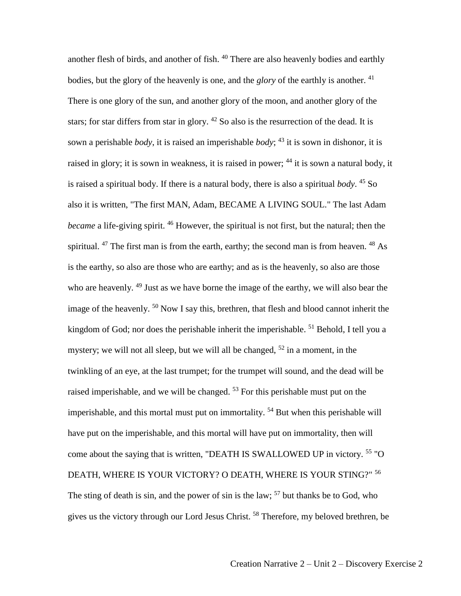another flesh of birds, and another of fish. <sup>40</sup> There are also heavenly bodies and earthly bodies, but the glory of the heavenly is one, and the *glory* of the earthly is another. <sup>41</sup> There is one glory of the sun, and another glory of the moon, and another glory of the stars; for star differs from star in glory.  $42$  So also is the resurrection of the dead. It is sown a perishable *body*, it is raised an imperishable *body*; <sup>43</sup> it is sown in dishonor, it is raised in glory; it is sown in weakness, it is raised in power; <sup>44</sup> it is sown a natural body, it is raised a spiritual body. If there is a natural body, there is also a spiritual *body*. <sup>45</sup> So also it is written, "The first MAN, Adam, BECAME A LIVING SOUL." The last Adam *became* a life-giving spirit. <sup>46</sup> However, the spiritual is not first, but the natural; then the spiritual.  $47$  The first man is from the earth, earthy; the second man is from heaven.  $48$  As is the earthy, so also are those who are earthy; and as is the heavenly, so also are those who are heavenly. <sup>49</sup> Just as we have borne the image of the earthy, we will also bear the image of the heavenly. <sup>50</sup> Now I say this, brethren, that flesh and blood cannot inherit the kingdom of God; nor does the perishable inherit the imperishable.  $51$  Behold, I tell you a mystery; we will not all sleep, but we will all be changed,  $52$  in a moment, in the twinkling of an eye, at the last trumpet; for the trumpet will sound, and the dead will be raised imperishable, and we will be changed.  $53$  For this perishable must put on the imperishable, and this mortal must put on immortality.  $54$  But when this perishable will have put on the imperishable, and this mortal will have put on immortality, then will come about the saying that is written, "DEATH IS SWALLOWED UP in victory. <sup>55</sup> "O DEATH, WHERE IS YOUR VICTORY? O DEATH, WHERE IS YOUR STING?" <sup>56</sup> The sting of death is sin, and the power of sin is the law;  $57$  but thanks be to God, who gives us the victory through our Lord Jesus Christ. <sup>58</sup> Therefore, my beloved brethren, be